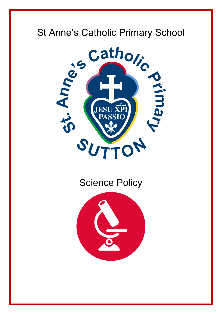

# Science Policy

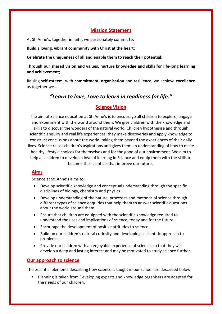# **Mission Statement**

At St. Anne's, together in faith, we passionately commit to:

**Build a loving, vibrant community with Christ at the heart;**

**Celebrate the uniqueness of all and enable them to reach their potential:**

**Through our shared vision and values, nurture knowledge and skills for life-long learning and achievement;**

Raising **self-esteem,** with **commitmen**t, **organisation** and **resilience**, we achieve **excellence** as together we…

# *"Learn to love, Love to learn in readiness for life."*

# **Science Vision**

The aim of Science education at St. Anne's is to encourage all children to explore, engage and experiment with the world around them. We give children with the knowledge and skills to discover the wonders of the natural world. Children hypothesise and through scientific enquiry and real life experiences, they make discoveries and apply knowledge to construct conclusions about the world, taking them beyond the experiences of their daily lives. Science raises children's aspirations and gives them an understanding of how to make healthy lifestyle choices for themselves and for the good of our environment. We aim to help all children to develop a love of learning in Science and equip them with the skills to become the scientists that improve our future.

# **Aims**

Science at St. Anne's aims to:

- Develop scientific knowledge and conceptual understanding through the specific disciplines of biology, chemistry and physics
- Develop understanding of the nature, processes and methods of science through different types of science enquiries that help them to answer scientific questions about the world around them
- Ensure that children are equipped with the scientific knowledge required to understand the uses and implications of science, today and for the future
- Encourage the development of positive attitudes to science.
- Build on our children's natural curiosity and developing a scientific approach to problems.
- Provide our children with an enjoyable experience of science, so that they will develop a deep and lasting interest and may be motivated to study science further.

# **Our approach to science**

The essential elements describing how science is taught in our school are described below.

 Planning is taken from Developing experts and knowledge organisers are adapted for the needs of our children,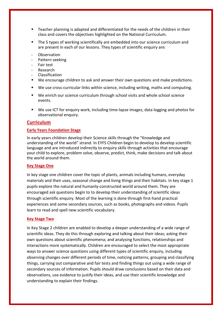- Teacher planning is adapted and differentiated for the needs of the children in their class and covers the objectives highlighted on the National Curriculum.
- The 5 types of working scientifically are embedded into our science curriculum and are present in each of our lessons. They types of scientific enquiry are:
- **Observation**
- Pattern seeking
- Fair test
- **Research**
- Classification
- We encourage children to ask and answer their own questions and make predictions.
- We use cross-curricular links within science, including writing, maths and computing.
- We enrich our science curriculum through school visits and whole school science events.
- We use ICT for enquiry work, including time-lapse images, data logging and photos for observational enquiry.

### **Curriculum**

### **Early Years Foundation Stage**

In early years children develop their Science skills through the "Knowledge and understanding of the world" strand. In EYFS Children begin to develop to develop scientific language and are introduced indirectly to enquiry skills through activities that encourage your child to explore, problem solve, observe, predict, think, make decisions and talk about the world around them.

#### **Key Stage One**

In key stage one children cover the topic of plants, animals including humans, everyday materials and their uses, seasonal change and living things and their habitats. In key stage 1 pupils explore the natural and humanly-constructed world around them. They are encouraged ask questions begin to to develop their understanding of scientific ideas through scientific enquiry. Most of the learning is done through first-hand practical experiences and some secondary sources, such as books, photographs and videos. Pupils learn to read and spell new scientific vocabulary.

#### **Key Stage Two**

In Key Stage 2 children are enabled to develop a deeper understanding of a wide range of scientific ideas. They do this through exploring and talking about their ideas; asking their own questions about scientific phenomena; and analysing functions, relationships and interactions more systematically. Children are encouraged to select the most appropriate ways to answer science questions using different types of scientific enquiry, including observing changes over different periods of time, noticing patterns, grouping and classifying things, carrying out comparative and fair tests and finding things out using a wide range of secondary sources of information. Pupils should draw conclusions based on their data and observations, use evidence to justify their ideas, and use their scientific knowledge and understanding to explain their findings.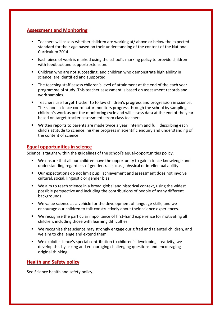# **Assessment and Monitoring**

- Teachers will assess whether children are working at/ above or below the expected standard for their age based on their understanding of the content of the National Curriculum 2014.
- Each piece of work is marked using the school's marking policy to provide children with feedback and support/extension.
- Children who are not succeeding, and children who demonstrate high ability in science, are identified and supported.
- The teaching staff assess children's level of attainment at the end of the each year programme of study. This teacher assessment is based on assessment records and work samples.
- Teachers use Target Tracker to follow children's progress and progression in science. The school science coordinator monitors progress through the school by sampling children's work as per the monitoring cycle and will assess data at the end of the year based on target tracker assessments from class teachers.
- Written reports to parents are made twice a year, interim and full, describing each child's attitude to science, his/her progress in scientific enquiry and understanding of the content of science.

# **Equal opportunities in science**

Science is taught within the guidelines of the school's equal-opportunities policy.

- We ensure that all our children have the opportunity to gain science knowledge and understanding regardless of gender, race, class, physical or intellectual ability.
- Our expectations do not limit pupil achievement and assessment does not involve cultural, social, linguistic or gender bias.
- We aim to teach science in a broad global and historical context, using the widest possible perspective and including the contributions of people of many different backgrounds.
- We value science as a vehicle for the development of language skills, and we encourage our children to talk constructively about their science experiences.
- We recognise the particular importance of first-hand experience for motivating all children, including those with learning difficulties.
- We recognise that science may strongly engage our gifted and talented children, and we aim to challenge and extend them.
- We exploit science's special contribution to children's developing creativity; we develop this by asking and encouraging challenging questions and encouraging original thinking.

# **Health and Safety policy**

See Science health and safety policy.